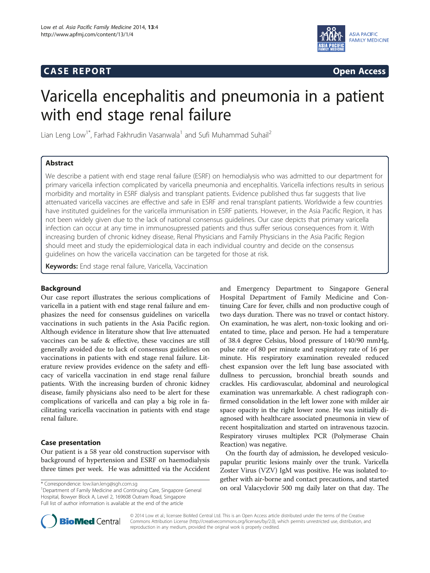# **CASE REPORT CASE REPORT**



# Varicella encephalitis and pneumonia in a patient with end stage renal failure

Lian Leng Low<sup>1\*</sup>, Farhad Fakhrudin Vasanwala<sup>1</sup> and Sufi Muhammad Suhail<sup>2</sup>

# Abstract

We describe a patient with end stage renal failure (ESRF) on hemodialysis who was admitted to our department for primary varicella infection complicated by varicella pneumonia and encephalitis. Varicella infections results in serious morbidity and mortality in ESRF dialysis and transplant patients. Evidence published thus far suggests that live attenuated varicella vaccines are effective and safe in ESRF and renal transplant patients. Worldwide a few countries have instituted guidelines for the varicella immunisation in ESRF patients. However, in the Asia Pacific Region, it has not been widely given due to the lack of national consensus guidelines. Our case depicts that primary varicella infection can occur at any time in immunosupressed patients and thus suffer serious consequences from it. With increasing burden of chronic kidney disease, Renal Physicians and Family Physicians in the Asia Pacific Region should meet and study the epidemiological data in each individual country and decide on the consensus guidelines on how the varicella vaccination can be targeted for those at risk.

Keywords: End stage renal failure, Varicella, Vaccination

## Background

Our case report illustrates the serious complications of varicella in a patient with end stage renal failure and emphasizes the need for consensus guidelines on varicella vaccinations in such patients in the Asia Pacific region. Although evidence in literature show that live attenuated vaccines can be safe & effective, these vaccines are still generally avoided due to lack of consensus guidelines on vaccinations in patients with end stage renal failure. Literature review provides evidence on the safety and efficacy of varicella vaccination in end stage renal failure patients. With the increasing burden of chronic kidney disease, family physicians also need to be alert for these complications of varicella and can play a big role in facilitating varicella vaccination in patients with end stage renal failure.

# Case presentation

Our patient is a 58 year old construction supervisor with background of hypertension and ESRF on haemodialysis three times per week. He was admittted via the Accident

<sup>1</sup>Department of Family Medicine and Continuing Care, Singapore General Hospital, Bowyer Block A, Level 2, 169608 Outram Road, Singapore Full list of author information is available at the end of the article

and Emergency Department to Singapore General Hospital Department of Family Medicine and Continuing Care for fever, chills and non productive cough of two days duration. There was no travel or contact history. On examination, he was alert, non-toxic looking and orientated to time, place and person. He had a temperature of 38.4 degree Celsius, blood pressure of 140/90 mmHg, pulse rate of 80 per minute and respiratory rate of 16 per minute. His respiratory examination revealed reduced chest expansion over the left lung base associated with dullness to percussion, bronchial breath sounds and crackles. His cardiovascular, abdominal and neurological examination was unremarkable. A chest radiograph confirmed consolidation in the left lower zone with milder air space opacity in the right lower zone. He was initially diagnosed with healthcare associated pneumonia in view of recent hospitalization and started on intravenous tazocin. Respiratory viruses multiplex PCR (Polymerase Chain Reaction) was negative.

On the fourth day of admission, he developed vesiculopapular pruritic lesions mainly over the trunk. Varicella Zoster Virus (VZV) IgM was positive. He was isolated together with air-borne and contact precautions, and started \* Correspondence: [low.lian.leng@sgh.com.sg](mailto:low.lian.leng@sgh.com.sg) **1996**<br><sup>1</sup> Department of Family Medicine and Continuing Care Singapore General **1996 on oral Valacyclovir 500 mg daily later on that day. The** 



© 2014 Low et al.; licensee BioMed Central Ltd. This is an Open Access article distributed under the terms of the Creative Commons Attribution License [\(http://creativecommons.org/licenses/by/2.0\)](http://creativecommons.org/licenses/by/2.0), which permits unrestricted use, distribution, and reproduction in any medium, provided the original work is properly credited.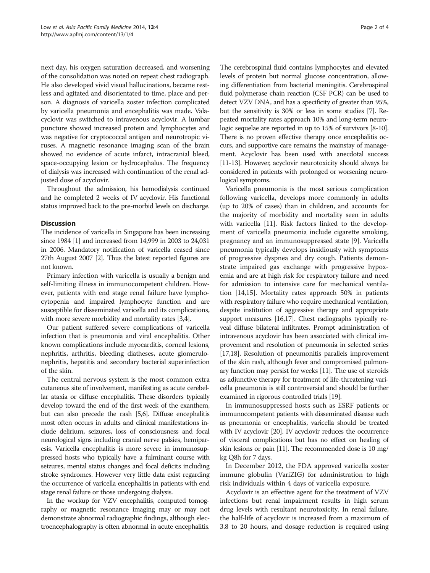next day, his oxygen saturation decreased, and worsening of the consolidation was noted on repeat chest radiograph. He also developed vivid visual hallucinations, became restless and agitated and disorientated to time, place and person. A diagnosis of varicella zoster infection complicated by varicella pneumonia and encephalitis was made. Valacyclovir was switched to intravenous acyclovir. A lumbar puncture showed increased protein and lymphocytes and was negative for cryptococcal antigen and neurotropic viruses. A magnetic resonance imaging scan of the brain showed no evidence of acute infarct, intracranial bleed, space-occupying lesion or hydrocephalus. The frequency of dialysis was increased with continuation of the renal adjusted dose of acyclovir.

Throughout the admission, his hemodialysis continued and he completed 2 weeks of IV acyclovir. His functional status improved back to the pre-morbid levels on discharge.

# **Discussion**

The incidence of varicella in Singapore has been increasing since 1984 [\[1\]](#page-3-0) and increased from 14,999 in 2003 to 24,031 in 2006. Mandatory notification of varicella ceased since 27th August 2007 [\[2\]](#page-3-0). Thus the latest reported figures are not known.

Primary infection with varicella is usually a benign and self-limiting illness in immunocompetent children. However, patients with end stage renal failure have lymphocytopenia and impaired lymphocyte function and are susceptible for disseminated varicella and its complications, with more severe morbidity and mortality rates [\[3,4\]](#page-3-0).

Our patient suffered severe complications of varicella infection that is pneumonia and viral encephalitis. Other known complications include myocarditis, corneal lesions, nephritis, arthritis, bleeding diatheses, acute glomerulonephritis, hepatitis and secondary bacterial superinfection of the skin.

The central nervous system is the most common extra cutaneous site of involvement, manifesting as acute cerebellar ataxia or diffuse encephalitis. These disorders typically develop toward the end of the first week of the exanthem, but can also precede the rash [[5,6\]](#page-3-0). Diffuse encephalitis most often occurs in adults and clinical manifestations include delirium, seizures, loss of consciousness and focal neurological signs including cranial nerve palsies, hemiparesis. Varicella encephalitis is more severe in immunosuppressed hosts who typically have a fulminant course with seizures, mental status changes and focal deficits including stroke syndromes. However very little data exist regarding the occurrence of varicella encephalitis in patients with end stage renal failure or those undergoing dialysis.

In the workup for VZV encephalitis, computed tomography or magnetic resonance imaging may or may not demonstrate abnormal radiographic findings, although electroencephalography is often abnormal in acute encephalitis.

The cerebrospinal fluid contains lymphocytes and elevated levels of protein but normal glucose concentration, allowing differentiation from bacterial meningitis. Cerebrospinal fluid polymerase chain reaction (CSF PCR) can be used to detect VZV DNA, and has a specificity of greater than 95%, but the sensitivity is 30% or less in some studies [\[7](#page-3-0)]. Repeated mortality rates approach 10% and long-term neurologic sequelae are reported in up to 15% of survivors [\[8-10](#page-3-0)]. There is no proven effective therapy once encephalitis occurs, and supportive care remains the mainstay of management. Acyclovir has been used with anecdotal success [[11](#page-3-0)-[13\]](#page-3-0). However, acyclovir neurotoxicity should always be considered in patients with prolonged or worsening neurological symptoms.

Varicella pneumonia is the most serious complication following varicella, develops more commonly in adults (up to 20% of cases) than in children, and accounts for the majority of morbidity and mortality seen in adults with varicella [[11\]](#page-3-0). Risk factors linked to the development of varicella pneumonia include cigarette smoking, pregnancy and an immunosuppressed state [[9\]](#page-3-0). Varicella pneumonia typically develops insidiously with symptoms of progressive dyspnea and dry cough. Patients demonstrate impaired gas exchange with progressive hypoxemia and are at high risk for respiratory failure and need for admission to intensive care for mechanical ventilation [\[14,15\]](#page-3-0). Mortality rates approach 50% in patients with respiratory failure who require mechanical ventilation, despite institution of aggressive therapy and appropriate support measures [\[16,17](#page-3-0)]. Chest radiographs typically reveal diffuse bilateral infiltrates. Prompt administration of intravenous acyclovir has been associated with clinical improvement and resolution of pneumonia in selected series [[17,18\]](#page-3-0). Resolution of pneumonitis parallels improvement of the skin rash, although fever and compromised pulmonary function may persist for weeks [\[11\]](#page-3-0). The use of steroids as adjunctive therapy for treatment of life-threatening varicella pneumonia is still controversial and should be further examined in rigorous controlled trials [\[19](#page-3-0)].

In immunosuppressed hosts such as ESRF patients or immunocompetent patients with disseminated disease such as pneumonia or encephalitis, varicella should be treated with IV acyclovir [\[20\]](#page-3-0). IV acyclovir reduces the occurrence of visceral complications but has no effect on healing of skin lesions or pain [\[11\]](#page-3-0). The recommended dose is 10 mg/ kg Q8h for 7 days.

In December 2012, the FDA approved varicella zoster immune globulin (VariZIG) for administration to high risk individuals within 4 days of varicella exposure.

Acyclovir is an effective agent for the treatment of VZV infections but renal impairment results in high serum drug levels with resultant neurotoxicity. In renal failure, the half-life of acyclovir is increased from a maximum of 3.8 to 20 hours, and dosage reduction is required using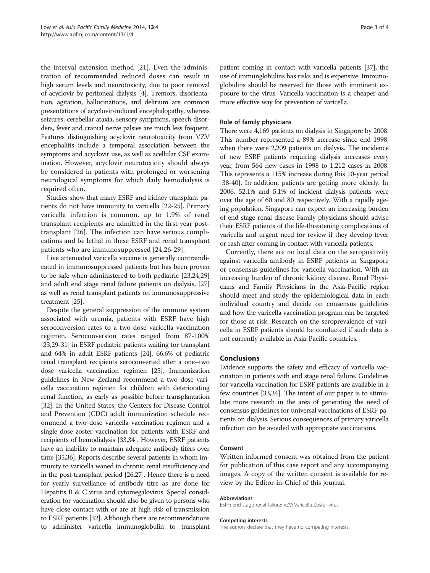the interval extension method [\[21](#page-3-0)]. Even the administration of recommended reduced doses can result in high serum levels and neurotoxicity, due to poor removal of acyclovir by peritoneal dialysis [\[4](#page-3-0)]. Tremors, disorientation, agitation, hallucinations, and delirium are common presentations of acyclovir-induced encephalopathy, whereas seizures, cerebellar ataxia, sensory symptoms, speech disorders, fever and cranial nerve palsies are much less frequent. Features distinguishing acyclovir neurotoxicity from VZV encephalitis include a temporal association between the symptoms and acyclovir use, as well as acellular CSF examination. However, acyclovir neurotoxicity should always be considered in patients with prolonged or worsening neurological symptoms for which daily hemodialysis is required often.

Studies show that many ESRF and kidney transplant patients do not have immunity to varicella [\[22-25](#page-3-0)]. Primary varicella infection is common, up to 1.9% of renal transplant recipients are admitted in the first year posttransplant [[26\]](#page-3-0). The infection can have serious complications and be lethal in these ESRF and renal transplant patients who are immunosuppressed [[24,26-29\]](#page-3-0).

Live attenuated varicella vaccine is generally contraindicated in immunosuppressed patients but has been proven to be safe when administered to both pediatric [\[23,24,29](#page-3-0)] and adult end stage renal failure patients on dialysis, [[27](#page-3-0)] as well as renal transplant patients on immunosuppressive treatment [[25](#page-3-0)].

Despite the general suppression of the immune system associated with uremia, patients with ESRF have high seroconversion rates to a two-dose varicella vaccination regimen. Seroconversion rates ranged from 87-100% [[23,29-31\]](#page-3-0) in ESRF pediatric patients waiting for transplant and 64% in adult ESRF patients [\[24\]](#page-3-0). 66.6% of pediatric renal transplant recipients seroconverted after a one–two dose varicella vaccination regimen [\[25\]](#page-3-0). Immunization guidelines in New Zealand recommend a two dose varicella vaccination regimen for children with deteriorating renal function, as early as possible before transplantation [[32](#page-3-0)]. In the United States, the Centers for Disease Control and Prevention (CDC) adult immunization schedule recommend a two dose varicella vaccination regimen and a single dose zoster vaccination for patients with ESRF and recipients of hemodialysis [[33,34\]](#page-3-0). However, ESRF patients have an inability to maintain adequate antibody titers over time [\[35,36\]](#page-3-0). Reports describe several patients in whom immunity to varicella waned in chronic renal insufficiency and in the post-transplant period [[26,27](#page-3-0)]. Hence there is a need for yearly surveillance of antibody titre as are done for Hepatitis B & C virus and cytomegalovirus. Special consideration for vaccination should also be given to persons who have close contact with or are at high risk of transmission to ESRF patients [[32](#page-3-0)]. Although there are recommendations to administer varicella immunoglobulin to transplant patient coming in contact with varicella patients [[37](#page-3-0)], the use of immunglobulins has risks and is expensive. Immunoglobulins should be reserved for those with imminent exposure to the virus. Varicella vaccination is a cheaper and more effective way for prevention of varicella.

# Role of family physicians

There were 4,169 patients on dialysis in Singapore by 2008. This number represented a 89% increase since end 1998, when there were 2,209 patients on dialysis. The incidence of new ESRF patients requiring dialysis increases every year, from 564 new cases in 1998 to 1,212 cases in 2008. This represents a 115% increase during this 10-year period [[38](#page-3-0)-[40](#page-3-0)]. In addition, patients are getting more elderly. In 2006, 52.1% and 5.1% of incident dialysis patients were over the age of 60 and 80 respectively. With a rapidly ageing population, Singapore can expect an increasing burden of end stage renal disease Family physicians should advise their ESRF patients of the life-threatening complications of varicella and urgent need for review if they develop fever or rash after coming in contact with varicella patients.

Currently, there are no local data on the seropositivity against varicella antibody in ESRF patients in Singapore or consensus guidelines for varicella vaccination. With an increasing burden of chronic kidney disease, Renal Physicians and Family Physicians in the Asia-Pacific region should meet and study the epidemiological data in each individual country and decide on consensus guidelines and how the varicella vaccination program can be targeted for those at risk. Research on the seroprevalence of varicella in ESRF patients should be conducted if such data is not currently available in Asia-Pacific countries.

# Conclusions

Evidence supports the safety and efficacy of varicella vaccination in patients with end stage renal failure. Guidelines for varicella vaccination for ESRF patients are available in a few countries [\[33,34](#page-3-0)]. The intent of our paper is to stimulate more research in the area of generating the need of consensus guidelines for universal vaccinations of ESRF patients on dialysis. Serious consequences of primary varicella infection can be avoided with appropriate vaccinations.

## Consent

Written informed consent was obtained from the patient for publication of this case report and any accompanying images. A copy of the written consent is available for review by the Editor-in-Chief of this journal.

### Abbreviations

ESRF: End stage renal failure; VZV: Varicella-Zoster virus.

#### Competing interests

The authors declare that they have no competing interests.